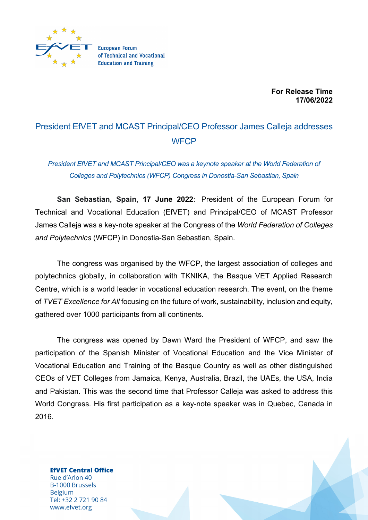

**For Release Time 17/06/2022**

## President EfVET and MCAST Principal/CEO Professor James Calleja addresses **WFCP**

*President EfVET and MCAST Principal/CEO was a keynote speaker at the World Federation of Colleges and Polytechnics (WFCP) Congress in Donostia-San Sebastian, Spain*

**San Sebastian, Spain, 17 June 2022**: President of the European Forum for Technical and Vocational Education (EfVET) and Principal/CEO of MCAST Professor James Calleja was a key-note speaker at the Congress of the *World Federation of Colleges and Polytechnics* (WFCP) in Donostia-San Sebastian, Spain.

The congress was organised by the WFCP, the largest association of colleges and polytechnics globally, in collaboration with TKNIKA, the Basque VET Applied Research Centre, which is a world leader in vocational education research. The event, on the theme of *TVET Excellence for All* focusing on the future of work, sustainability, inclusion and equity, gathered over 1000 participants from all continents.

The congress was opened by Dawn Ward the President of WFCP, and saw the participation of the Spanish Minister of Vocational Education and the Vice Minister of Vocational Education and Training of the Basque Country as well as other distinguished CEOs of VET Colleges from Jamaica, Kenya, Australia, Brazil, the UAEs, the USA, India and Pakistan. This was the second time that Professor Calleja was asked to address this World Congress. His first participation as a key-note speaker was in Quebec, Canada in 2016.

**EfVET Central Office** Rue d'Arlon 40 **B-1000 Brussels Belgium** Tel: +32 2 721 90 84 www.efvet.org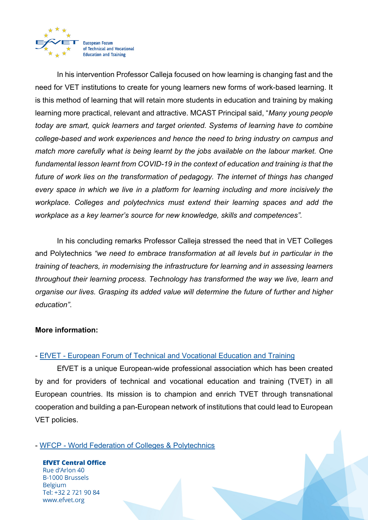

In his intervention Professor Calleja focused on how learning is changing fast and the need for VET institutions to create for young learners new forms of work-based learning. It is this method of learning that will retain more students in education and training by making learning more practical, relevant and attractive. MCAST Principal said, "*Many young people today are smart, quick learners and target oriented. Systems of learning have to combine college-based and work experiences and hence the need to bring industry on campus and match more carefully what is being learnt by the jobs available on the labour market. One fundamental lesson learnt from COVID-19 in the context of education and training is that the future of work lies on the transformation of pedagogy. The internet of things has changed every space in which we live in a platform for learning including and more incisively the workplace. Colleges and polytechnics must extend their learning spaces and add the workplace as a key learner's source for new knowledge, skills and competences".*

In his concluding remarks Professor Calleja stressed the need that in VET Colleges and Polytechnics *"we need to embrace transformation at all levels but in particular in the training of teachers, in modernising the infrastructure for learning and in assessing learners throughout their learning process. Technology has transformed the way we live, learn and organise our lives. Grasping its added value will determine the future of further and higher education"*.

## **More information:**

## - EfVET - European Forum of Technical and Vocational Education and Training

EfVET is a unique European-wide professional association which has been created by and for providers of technical and vocational education and training (TVET) in all European countries. Its mission is to champion and enrich TVET through transnational cooperation and building a pan-European network of institutions that could lead to European VET policies.

- WFCP - World Federation of Colleges & Polytechnics

**EfVET Central Office** Rue d'Arlon 40 **B-1000 Brussels Belgium** Tel: +32 2 721 90 84 www.efvet.org